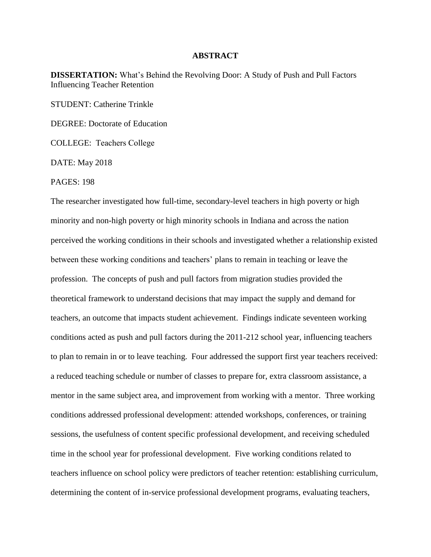## **ABSTRACT**

**DISSERTATION:** What's Behind the Revolving Door: A Study of Push and Pull Factors Influencing Teacher Retention

STUDENT: Catherine Trinkle

DEGREE: Doctorate of Education

COLLEGE: Teachers College

DATE: May 2018

PAGES: 198

The researcher investigated how full-time, secondary-level teachers in high poverty or high minority and non-high poverty or high minority schools in Indiana and across the nation perceived the working conditions in their schools and investigated whether a relationship existed between these working conditions and teachers' plans to remain in teaching or leave the profession. The concepts of push and pull factors from migration studies provided the theoretical framework to understand decisions that may impact the supply and demand for teachers, an outcome that impacts student achievement. Findings indicate seventeen working conditions acted as push and pull factors during the 2011-212 school year, influencing teachers to plan to remain in or to leave teaching. Four addressed the support first year teachers received: a reduced teaching schedule or number of classes to prepare for, extra classroom assistance, a mentor in the same subject area, and improvement from working with a mentor. Three working conditions addressed professional development: attended workshops, conferences, or training sessions, the usefulness of content specific professional development, and receiving scheduled time in the school year for professional development. Five working conditions related to teachers influence on school policy were predictors of teacher retention: establishing curriculum, determining the content of in-service professional development programs, evaluating teachers,